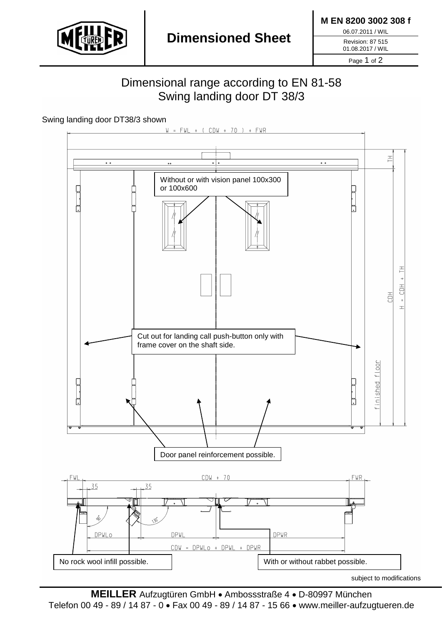

**M EN 8200 3002 308 f**

06.07.2011 / WIL

Revision: 87 515 01.08.2017 / WIL

Page 1 of 2

## Dimensional range according to EN 81-58 Swing landing door DT 38/3

Swing landing door DT38/3 shown



**MEILLER** Aufzugtüren GmbH • Ambossstraße 4 • D-80997 München Telefon 00 49 - 89 / 14 87 - 0 • Fax 00 49 - 89 / 14 87 - 15 66 • www.meiller-aufzugtueren.de